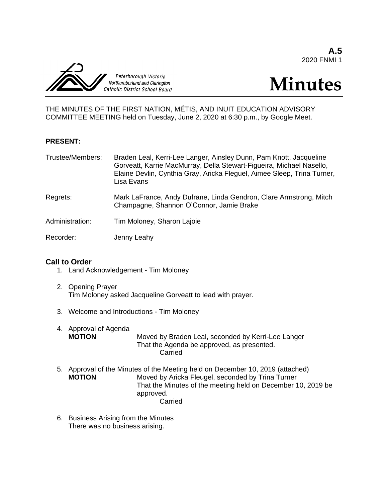**A.5** 2020 FNMI 1



# **Minutes**

THE MINUTES OF THE FIRST NATION, MÉTIS, AND INUIT EDUCATION ADVISORY COMMITTEE MEETING held on Tuesday, June 2, 2020 at 6:30 p.m., by Google Meet.

# **PRESENT:**

| Trustee/Members: | Braden Leal, Kerri-Lee Langer, Ainsley Dunn, Pam Knott, Jacqueline<br>Gorveatt, Karrie MacMurray, Della Stewart-Figueira, Michael Nasello,<br>Elaine Devlin, Cynthia Gray, Aricka Fleguel, Aimee Sleep, Trina Turner,<br>Lisa Evans |
|------------------|-------------------------------------------------------------------------------------------------------------------------------------------------------------------------------------------------------------------------------------|
|                  |                                                                                                                                                                                                                                     |

- Regrets: Mark LaFrance, Andy Dufrane, Linda Gendron, Clare Armstrong, Mitch Champagne, Shannon O'Connor, Jamie Brake
- Administration: Tim Moloney, Sharon Lajoie

Recorder: Jenny Leahy

# **Call to Order**

- 1. Land Acknowledgement Tim Moloney
- 2. Opening Prayer Tim Moloney asked Jacqueline Gorveatt to lead with prayer.
- 3. Welcome and Introductions Tim Moloney
- 4. Approval of Agenda<br>**MOTION** Moved by Braden Leal, seconded by Kerri-Lee Langer That the Agenda be approved, as presented. Carried
- 5. Approval of the Minutes of the Meeting held on December 10, 2019 (attached) **MOTION** Moved by Aricka Fleugel, seconded by Trina Turner That the Minutes of the meeting held on December 10, 2019 be approved. Carried
- 6. Business Arising from the Minutes There was no business arising.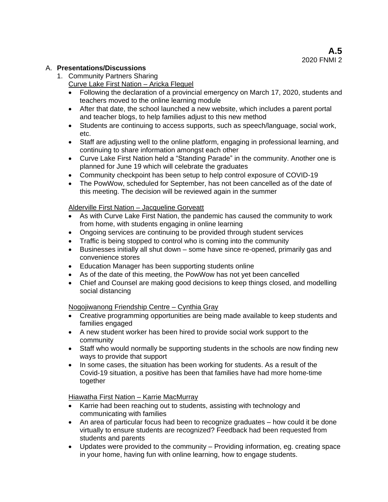# A. **Presentations/Discussions**

- 1. Community Partners Sharing
	- Curve Lake First Nation Aricka Fleguel
	- Following the declaration of a provincial emergency on March 17, 2020, students and teachers moved to the online learning module
	- After that date, the school launched a new website, which includes a parent portal and teacher blogs, to help families adjust to this new method
	- Students are continuing to access supports, such as speech/language, social work, etc.
	- Staff are adjusting well to the online platform, engaging in professional learning, and continuing to share information amongst each other
	- Curve Lake First Nation held a "Standing Parade" in the community. Another one is planned for June 19 which will celebrate the graduates
	- Community checkpoint has been setup to help control exposure of COVID-19
	- The PowWow, scheduled for September, has not been cancelled as of the date of this meeting. The decision will be reviewed again in the summer

# Alderville First Nation – Jacqueline Gorveatt

- As with Curve Lake First Nation, the pandemic has caused the community to work from home, with students engaging in online learning
- Ongoing services are continuing to be provided through student services
- Traffic is being stopped to control who is coming into the community
- Businesses initially all shut down some have since re-opened, primarily gas and convenience stores
- Education Manager has been supporting students online
- As of the date of this meeting, the PowWow has not yet been cancelled
- Chief and Counsel are making good decisions to keep things closed, and modelling social distancing

# Nogojiwanong Friendship Centre – Cynthia Gray

- Creative programming opportunities are being made available to keep students and families engaged
- A new student worker has been hired to provide social work support to the community
- Staff who would normally be supporting students in the schools are now finding new ways to provide that support
- In some cases, the situation has been working for students. As a result of the Covid-19 situation, a positive has been that families have had more home-time together

Hiawatha First Nation – Karrie MacMurray

- Karrie had been reaching out to students, assisting with technology and communicating with families
- An area of particular focus had been to recognize graduates how could it be done virtually to ensure students are recognized? Feedback had been requested from students and parents
- Updates were provided to the community Providing information, eg. creating space in your home, having fun with online learning, how to engage students.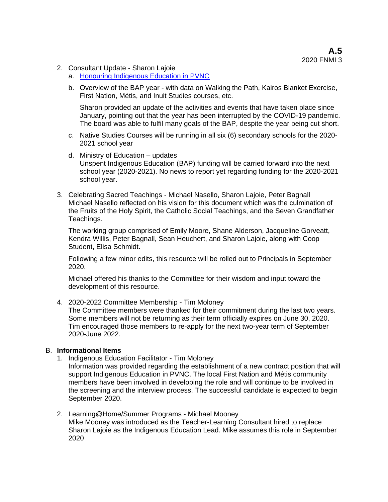- 2. Consultant Update Sharon Lajoie
	- a. [Honouring Indigenous Education in PVNC](https://sway.office.com/OFS0iv1NYRVjD6XA?ref=Link)
	- b. Overview of the BAP year with data on Walking the Path, Kairos Blanket Exercise, First Nation, Métis, and Inuit Studies courses, etc.

Sharon provided an update of the activities and events that have taken place since January, pointing out that the year has been interrupted by the COVID-19 pandemic. The board was able to fulfil many goals of the BAP, despite the year being cut short.

- c. Native Studies Courses will be running in all six (6) secondary schools for the 2020- 2021 school year
- d. Ministry of Education updates Unspent Indigenous Education (BAP) funding will be carried forward into the next school year (2020-2021). No news to report yet regarding funding for the 2020-2021 school year.
- 3. Celebrating Sacred Teachings Michael Nasello, Sharon Lajoie, Peter Bagnall Michael Nasello reflected on his vision for this document which was the culmination of the Fruits of the Holy Spirit, the Catholic Social Teachings, and the Seven Grandfather Teachings.

The working group comprised of Emily Moore, Shane Alderson, Jacqueline Gorveatt, Kendra Willis, Peter Bagnall, Sean Heuchert, and Sharon Lajoie, along with Coop Student, Elisa Schmidt.

Following a few minor edits, this resource will be rolled out to Principals in September 2020.

Michael offered his thanks to the Committee for their wisdom and input toward the development of this resource.

4. 2020-2022 Committee Membership - Tim Moloney

The Committee members were thanked for their commitment during the last two years. Some members will not be returning as their term officially expires on June 30, 2020. Tim encouraged those members to re-apply for the next two-year term of September 2020-June 2022.

#### B. **Informational Items**

1. Indigenous Education Facilitator - Tim Moloney

Information was provided regarding the establishment of a new contract position that will support Indigenous Education in PVNC. The local First Nation and Métis community members have been involved in developing the role and will continue to be involved in the screening and the interview process. The successful candidate is expected to begin September 2020.

2. Learning@Home/Summer Programs - Michael Mooney Mike Mooney was introduced as the Teacher-Learning Consultant hired to replace Sharon Lajoie as the Indigenous Education Lead. Mike assumes this role in September 2020